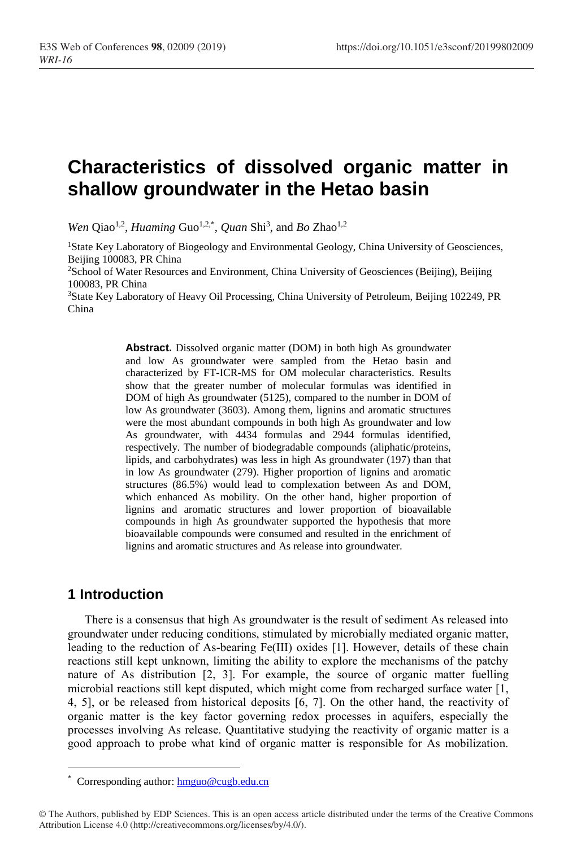# **Characteristics of dissolved organic matter in shallow groundwater in the Hetao basin**

Wen Qiao<sup>1,2</sup>, *Huaming* Guo<sup>1,2,\*</sup>, *Quan* Shi<sup>3</sup>, and *Bo* Zhao<sup>1,2</sup>

<sup>1</sup>State Key Laboratory of Biogeology and Environmental Geology, China University of Geosciences, Beijing 100083, PR China

<sup>2</sup>School of Water Resources and Environment, China University of Geosciences (Beijing), Beijing 100083, PR China

<sup>3</sup>State Key Laboratory of Heavy Oil Processing, China University of Petroleum, Beijing 102249, PR China

> **Abstract.** Dissolved organic matter (DOM) in both high As groundwater and low As groundwater were sampled from the Hetao basin and characterized by FT-ICR-MS for OM molecular characteristics. Results show that the greater number of molecular formulas was identified in DOM of high As groundwater (5125), compared to the number in DOM of low As groundwater (3603). Among them, lignins and aromatic structures were the most abundant compounds in both high As groundwater and low As groundwater, with 4434 formulas and 2944 formulas identified, respectively. The number of biodegradable compounds (aliphatic/proteins, lipids, and carbohydrates) was less in high As groundwater (197) than that in low As groundwater (279). Higher proportion of lignins and aromatic structures (86.5%) would lead to complexation between As and DOM, which enhanced As mobility. On the other hand, higher proportion of lignins and aromatic structures and lower proportion of bioavailable compounds in high As groundwater supported the hypothesis that more bioavailable compounds were consumed and resulted in the enrichment of lignins and aromatic structures and As release into groundwater.

## **1 Introduction**

There is a consensus that high As groundwater is the result of sediment As released into groundwater under reducing conditions, stimulated by microbially mediated organic matter, leading to the reduction of As-bearing Fe(III) oxides [1]. However, details of these chain reactions still kept unknown, limiting the ability to explore the mechanisms of the patchy nature of As distribution [2, 3]. For example, the source of organic matter fuelling microbial reactions still kept disputed, which might come from recharged surface water [1, 4, 5], or be released from historical deposits [6, 7]. On the other hand, the reactivity of organic matter is the key factor governing redox processes in aquifers, especially the processes involving As release. Quantitative studying the reactivity of organic matter is a good approach to probe what kind of organic matter is responsible for As mobilization.

Corresponding author: [hmguo@cugb.edu.cn](mailto:hmguo@cugb.edu.cn)

<sup>©</sup> The Authors, published by EDP Sciences. This is an open access article distributed under the terms of the Creative Commons Attribution License 4.0 (http://creativecommons.org/licenses/by/4.0/).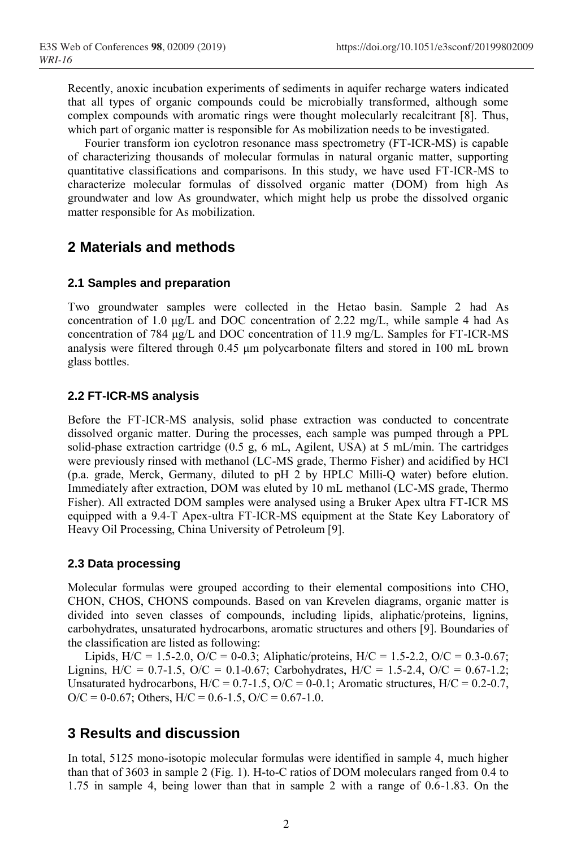Recently, anoxic incubation experiments of sediments in aquifer recharge waters indicated that all types of organic compounds could be microbially transformed, although some complex compounds with aromatic rings were thought molecularly recalcitrant [8]. Thus, which part of organic matter is responsible for As mobilization needs to be investigated.

Fourier transform ion cyclotron resonance mass spectrometry (FT-ICR-MS) is capable of characterizing thousands of molecular formulas in natural organic matter, supporting quantitative classifications and comparisons. In this study, we have used FT-ICR-MS to characterize molecular formulas of dissolved organic matter (DOM) from high As groundwater and low As groundwater, which might help us probe the dissolved organic matter responsible for As mobilization.

## **2 Materials and methods**

### **2.1 Samples and preparation**

Two groundwater samples were collected in the Hetao basin. Sample 2 had As concentration of 1.0  $\mu$ g/L and DOC concentration of 2.22 mg/L, while sample 4 had As concentration of 784 μg/L and DOC concentration of 11.9 mg/L. Samples for FT-ICR-MS analysis were filtered through 0.45 μm polycarbonate filters and stored in 100 mL brown glass bottles.

### **2.2 FT-ICR-MS analysis**

Before the FT-ICR-MS analysis, solid phase extraction was conducted to concentrate dissolved organic matter. During the processes, each sample was pumped through a PPL solid-phase extraction cartridge (0.5 g, 6 mL, Agilent, USA) at 5 mL/min. The cartridges were previously rinsed with methanol (LC-MS grade, Thermo Fisher) and acidified by HCl (p.a. grade, Merck, Germany, diluted to pH 2 by HPLC Milli-Q water) before elution. Immediately after extraction, DOM was eluted by 10 mL methanol (LC-MS grade, Thermo Fisher). All extracted DOM samples were analysed using a Bruker Apex ultra FT-ICR MS equipped with a 9.4-T Apex-ultra FT-ICR-MS equipment at the State Key Laboratory of Heavy Oil Processing, China University of Petroleum [9].

#### **2.3 Data processing**

Molecular formulas were grouped according to their elemental compositions into CHO, CHON, CHOS, CHONS compounds. Based on van Krevelen diagrams, organic matter is divided into seven classes of compounds, including lipids, aliphatic/proteins, lignins, carbohydrates, unsaturated hydrocarbons, aromatic structures and others [9]. Boundaries of the classification are listed as following:

Lipids,  $H/C = 1.5-2.0$ ,  $O/C = 0.03$ ; Aliphatic/proteins,  $H/C = 1.5-2.2$ ,  $O/C = 0.3-0.67$ ; Lignins, H/C =  $0.7-1.5$ , O/C =  $0.1-0.67$ ; Carbohydrates, H/C =  $1.5-2.4$ , O/C =  $0.67-1.2$ ; Unsaturated hydrocarbons,  $H/C = 0.7-1.5$ ,  $O/C = 0-0.1$ ; Aromatic structures,  $H/C = 0.2-0.7$ ,  $O/C = 0.67$ ; Others,  $H/C = 0.6 - 1.5$ ,  $O/C = 0.67 - 1.0$ .

## **3 Results and discussion**

In total, 5125 mono-isotopic molecular formulas were identified in sample 4, much higher than that of 3603 in sample 2 (Fig. 1). H-to-C ratios of DOM moleculars ranged from 0.4 to 1.75 in sample 4, being lower than that in sample 2 with a range of 0.6-1.83. On the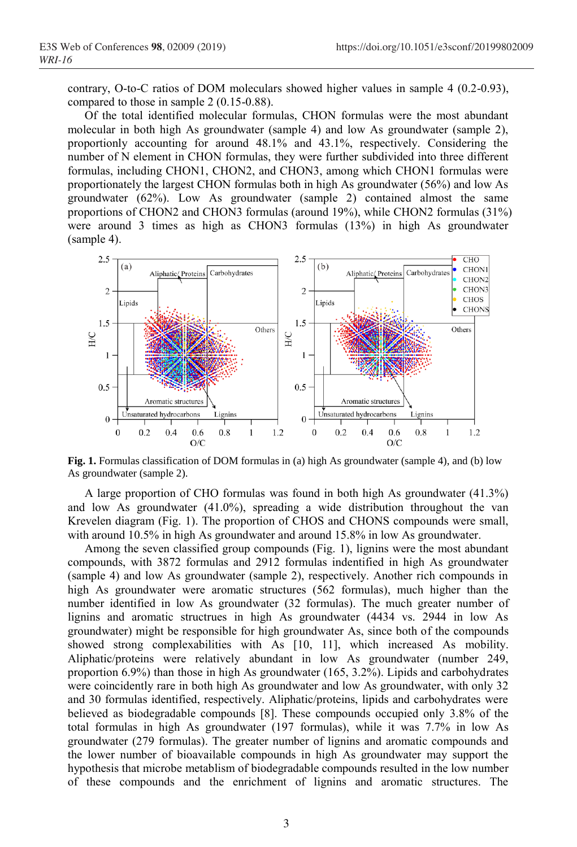contrary, O-to-C ratios of DOM moleculars showed higher values in sample 4 (0.2-0.93), compared to those in sample 2 (0.15-0.88).

Of the total identified molecular formulas, CHON formulas were the most abundant molecular in both high As groundwater (sample 4) and low As groundwater (sample 2), proportionly accounting for around 48.1% and 43.1%, respectively. Considering the number of N element in CHON formulas, they were further subdivided into three different formulas, including CHON1, CHON2, and CHON3, among which CHON1 formulas were proportionately the largest CHON formulas both in high As groundwater (56%) and low As groundwater (62%). Low As groundwater (sample 2) contained almost the same proportions of CHON2 and CHON3 formulas (around 19%), while CHON2 formulas (31%) were around 3 times as high as CHON3 formulas (13%) in high As groundwater (sample 4).



**Fig. 1.** Formulas classification of DOM formulas in (a) high As groundwater (sample 4), and (b) low As groundwater (sample 2).

A large proportion of CHO formulas was found in both high As groundwater (41.3%) and low As groundwater (41.0%), spreading a wide distribution throughout the van Krevelen diagram (Fig. 1). The proportion of CHOS and CHONS compounds were small, with around 10.5% in high As groundwater and around 15.8% in low As groundwater.

Among the seven classified group compounds (Fig. 1), lignins were the most abundant compounds, with 3872 formulas and 2912 formulas indentified in high As groundwater (sample 4) and low As groundwater (sample 2), respectively. Another rich compounds in high As groundwater were aromatic structures (562 formulas), much higher than the number identified in low As groundwater (32 formulas). The much greater number of lignins and aromatic structrues in high As groundwater (4434 vs. 2944 in low As groundwater) might be responsible for high groundwater As, since both of the compounds showed strong complexabilities with As [10, 11], which increased As mobility. Aliphatic/proteins were relatively abundant in low As groundwater (number 249, proportion 6.9%) than those in high As groundwater (165, 3.2%). Lipids and carbohydrates were coincidently rare in both high As groundwater and low As groundwater, with only 32 and 30 formulas identified, respectively. Aliphatic/proteins, lipids and carbohydrates were believed as biodegradable compounds [8]. These compounds occupied only 3.8% of the total formulas in high As groundwater (197 formulas), while it was 7.7% in low As groundwater (279 formulas). The greater number of lignins and aromatic compounds and the lower number of bioavailable compounds in high As groundwater may support the hypothesis that microbe metablism of biodegradable compounds resulted in the low number of these compounds and the enrichment of lignins and aromatic structures. The